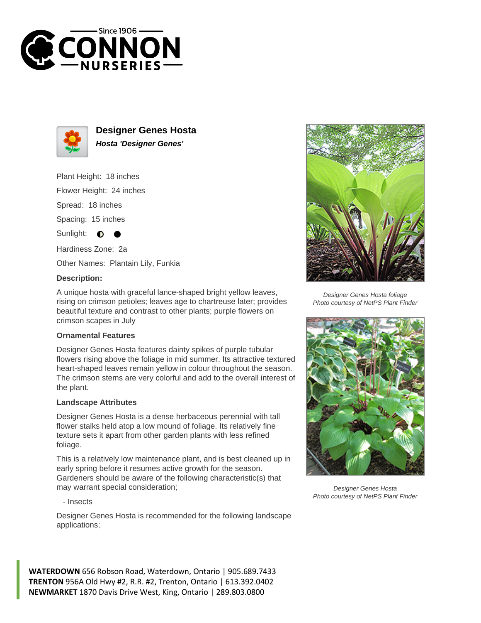



**Designer Genes Hosta Hosta 'Designer Genes'**

Plant Height: 18 inches

Flower Height: 24 inches

Spread: 18 inches

Spacing: 15 inches

Sunlight: ∩

Hardiness Zone: 2a

Other Names: Plantain Lily, Funkia

## **Description:**

A unique hosta with graceful lance-shaped bright yellow leaves, rising on crimson petioles; leaves age to chartreuse later; provides beautiful texture and contrast to other plants; purple flowers on crimson scapes in July

## **Ornamental Features**

Designer Genes Hosta features dainty spikes of purple tubular flowers rising above the foliage in mid summer. Its attractive textured heart-shaped leaves remain yellow in colour throughout the season. The crimson stems are very colorful and add to the overall interest of the plant.

## **Landscape Attributes**

Designer Genes Hosta is a dense herbaceous perennial with tall flower stalks held atop a low mound of foliage. Its relatively fine texture sets it apart from other garden plants with less refined foliage.

This is a relatively low maintenance plant, and is best cleaned up in early spring before it resumes active growth for the season. Gardeners should be aware of the following characteristic(s) that may warrant special consideration;

- Insects

Designer Genes Hosta is recommended for the following landscape applications;



Designer Genes Hosta foliage Photo courtesy of NetPS Plant Finder



Designer Genes Hosta Photo courtesy of NetPS Plant Finder

**WATERDOWN** 656 Robson Road, Waterdown, Ontario | 905.689.7433 **TRENTON** 956A Old Hwy #2, R.R. #2, Trenton, Ontario | 613.392.0402 **NEWMARKET** 1870 Davis Drive West, King, Ontario | 289.803.0800